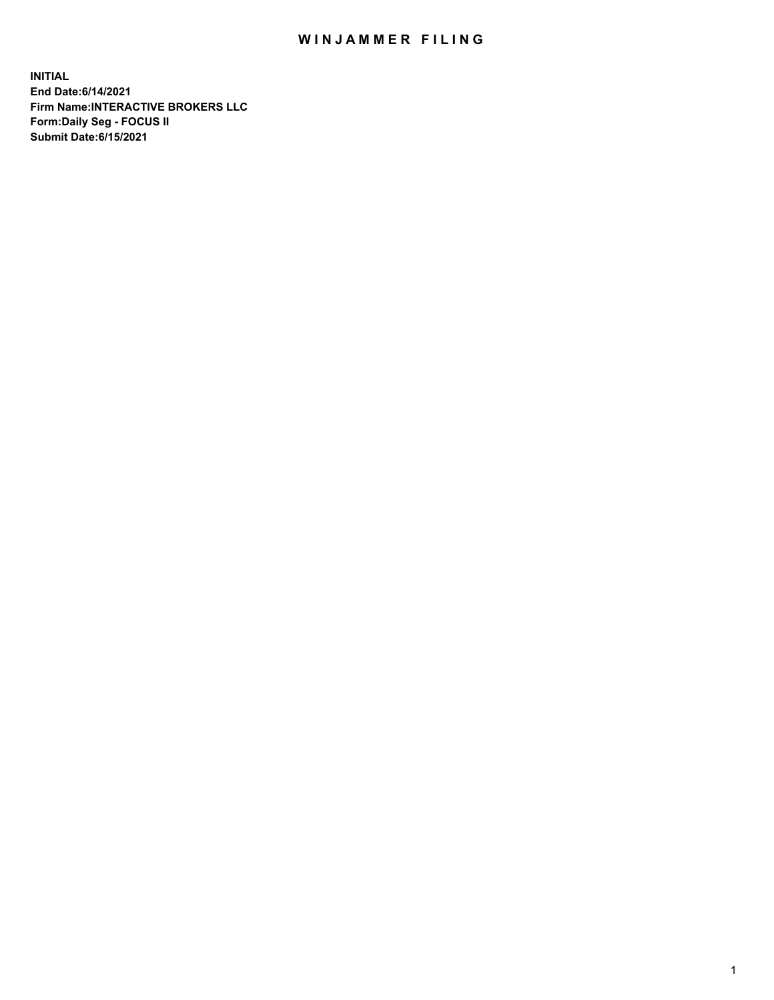## WIN JAMMER FILING

**INITIAL End Date:6/14/2021 Firm Name:INTERACTIVE BROKERS LLC Form:Daily Seg - FOCUS II Submit Date:6/15/2021**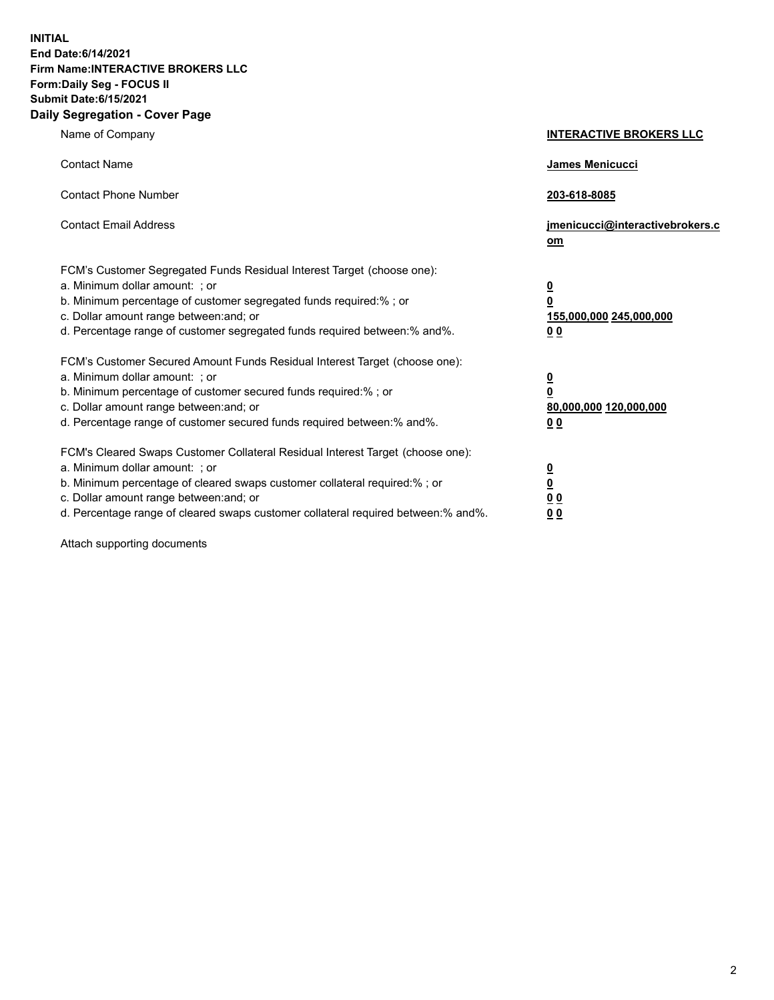**INITIAL End Date:6/14/2021 Firm Name:INTERACTIVE BROKERS LLC Form:Daily Seg - FOCUS II Submit Date:6/15/2021 Daily Segregation - Cover Page**

| Name of Company                                                                                                                                                                                                                                                                                                                | <b>INTERACTIVE BROKERS LLC</b>                                                                  |
|--------------------------------------------------------------------------------------------------------------------------------------------------------------------------------------------------------------------------------------------------------------------------------------------------------------------------------|-------------------------------------------------------------------------------------------------|
| <b>Contact Name</b>                                                                                                                                                                                                                                                                                                            | James Menicucci                                                                                 |
| <b>Contact Phone Number</b>                                                                                                                                                                                                                                                                                                    | 203-618-8085                                                                                    |
| <b>Contact Email Address</b>                                                                                                                                                                                                                                                                                                   | jmenicucci@interactivebrokers.c<br>$om$                                                         |
| FCM's Customer Segregated Funds Residual Interest Target (choose one):<br>a. Minimum dollar amount: ; or<br>b. Minimum percentage of customer segregated funds required:% ; or<br>c. Dollar amount range between: and; or<br>d. Percentage range of customer segregated funds required between:% and%.                         | $\overline{\mathbf{0}}$<br>$\overline{\mathbf{0}}$<br>155,000,000 245,000,000<br>0 <sub>0</sub> |
| FCM's Customer Secured Amount Funds Residual Interest Target (choose one):<br>a. Minimum dollar amount: ; or<br>b. Minimum percentage of customer secured funds required:%; or<br>c. Dollar amount range between: and; or<br>d. Percentage range of customer secured funds required between:% and%.                            | $\overline{\mathbf{0}}$<br>$\overline{\mathbf{0}}$<br>80,000,000 120,000,000<br>0 <sub>0</sub>  |
| FCM's Cleared Swaps Customer Collateral Residual Interest Target (choose one):<br>a. Minimum dollar amount: ; or<br>b. Minimum percentage of cleared swaps customer collateral required:% ; or<br>c. Dollar amount range between: and; or<br>d. Percentage range of cleared swaps customer collateral required between:% and%. | $\overline{\mathbf{0}}$<br><u>0</u><br>0 <sub>0</sub><br>0 <sub>0</sub>                         |

Attach supporting documents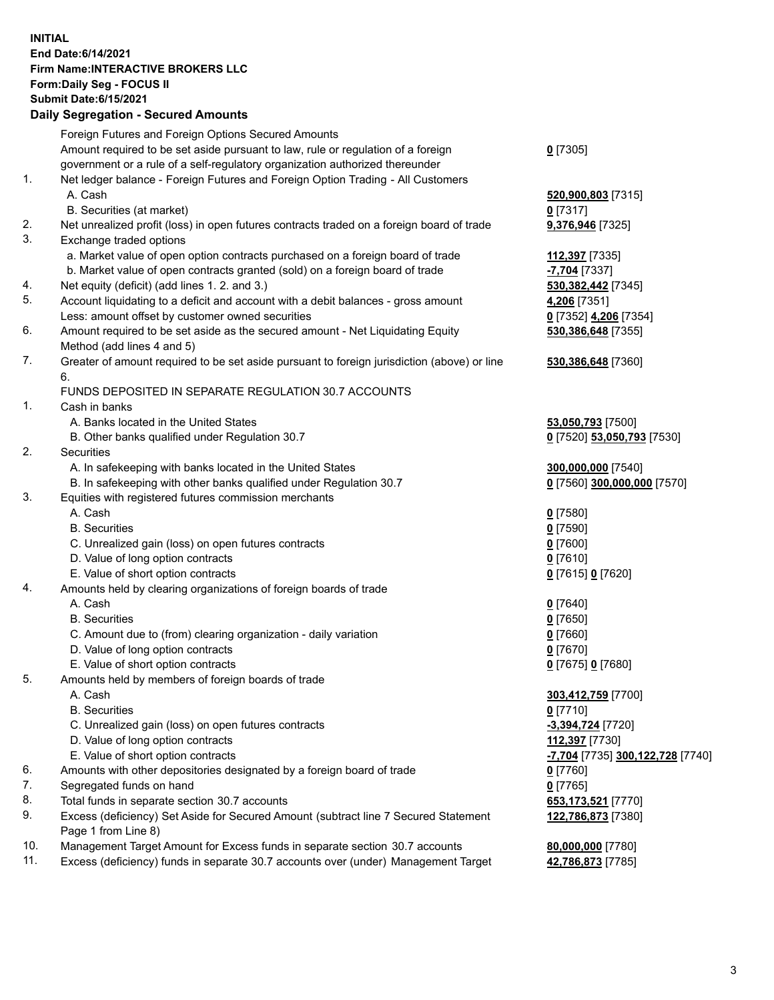## **INITIAL End Date:6/14/2021 Firm Name:INTERACTIVE BROKERS LLC Form:Daily Seg - FOCUS II Submit Date:6/15/2021**

|     | <b>Daily Segregation - Secured Amounts</b>                                                  |                                               |
|-----|---------------------------------------------------------------------------------------------|-----------------------------------------------|
|     | Foreign Futures and Foreign Options Secured Amounts                                         |                                               |
|     | Amount required to be set aside pursuant to law, rule or regulation of a foreign            | $0$ [7305]                                    |
|     | government or a rule of a self-regulatory organization authorized thereunder                |                                               |
| 1.  | Net ledger balance - Foreign Futures and Foreign Option Trading - All Customers             |                                               |
|     | A. Cash                                                                                     | 520,900,803 [7315]                            |
|     | B. Securities (at market)                                                                   | $0$ [7317]                                    |
| 2.  | Net unrealized profit (loss) in open futures contracts traded on a foreign board of trade   | 9,376,946 [7325]                              |
| 3.  | Exchange traded options                                                                     |                                               |
|     | a. Market value of open option contracts purchased on a foreign board of trade              | 112,397 [7335]                                |
|     | b. Market value of open contracts granted (sold) on a foreign board of trade                | -7,704 [7337]                                 |
| 4.  | Net equity (deficit) (add lines 1. 2. and 3.)                                               | 530, 382, 442 [7345]                          |
| 5.  | Account liquidating to a deficit and account with a debit balances - gross amount           | 4,206 [7351]                                  |
|     | Less: amount offset by customer owned securities                                            | 0 [7352] 4,206 [7354]                         |
| 6.  | Amount required to be set aside as the secured amount - Net Liquidating Equity              | 530,386,648 [7355]                            |
|     | Method (add lines 4 and 5)                                                                  |                                               |
| 7.  | Greater of amount required to be set aside pursuant to foreign jurisdiction (above) or line | 530,386,648 [7360]                            |
|     | 6.                                                                                          |                                               |
|     | FUNDS DEPOSITED IN SEPARATE REGULATION 30.7 ACCOUNTS                                        |                                               |
| 1.  | Cash in banks                                                                               |                                               |
|     | A. Banks located in the United States                                                       | 53,050,793 [7500]                             |
|     | B. Other banks qualified under Regulation 30.7                                              | 0 [7520] 53,050,793 [7530]                    |
| 2.  | Securities                                                                                  |                                               |
|     | A. In safekeeping with banks located in the United States                                   | 300,000,000 [7540]                            |
|     | B. In safekeeping with other banks qualified under Regulation 30.7                          | 0 [7560] 300,000,000 [7570]                   |
| 3.  | Equities with registered futures commission merchants                                       |                                               |
|     | A. Cash                                                                                     | $0$ [7580]                                    |
|     | <b>B.</b> Securities                                                                        | $0$ [7590]                                    |
|     | C. Unrealized gain (loss) on open futures contracts                                         | $0$ [7600]                                    |
|     | D. Value of long option contracts                                                           | $0$ [7610]                                    |
|     | E. Value of short option contracts                                                          | 0 [7615] 0 [7620]                             |
| 4.  | Amounts held by clearing organizations of foreign boards of trade                           |                                               |
|     | A. Cash                                                                                     | $0$ [7640]                                    |
|     | <b>B.</b> Securities                                                                        | $0$ [7650]                                    |
|     | C. Amount due to (from) clearing organization - daily variation                             | $0$ [7660]                                    |
|     | D. Value of long option contracts                                                           | $0$ [7670]                                    |
|     | E. Value of short option contracts                                                          | 0 [7675] 0 [7680]                             |
| 5.  | Amounts held by members of foreign boards of trade                                          |                                               |
|     | A. Cash                                                                                     | 303,412,759 [7700]                            |
|     | <b>B.</b> Securities                                                                        | $0$ [7710]                                    |
|     | C. Unrealized gain (loss) on open futures contracts                                         | -3,394,724 [7720]                             |
|     | D. Value of long option contracts                                                           | 112,397 [7730]                                |
|     | E. Value of short option contracts                                                          | <mark>-7,704</mark> [7735] 300,122,728 [7740] |
| 6.  | Amounts with other depositories designated by a foreign board of trade                      | $0$ [7760]                                    |
| 7.  | Segregated funds on hand                                                                    | $0$ [7765]                                    |
| 8.  | Total funds in separate section 30.7 accounts                                               | 653,173,521 [7770]                            |
| 9.  | Excess (deficiency) Set Aside for Secured Amount (subtract line 7 Secured Statement         | 122,786,873 [7380]                            |
|     | Page 1 from Line 8)                                                                         |                                               |
| 10. | Management Target Amount for Excess funds in separate section 30.7 accounts                 | 80,000,000 [7780]                             |
| 11. | Excess (deficiency) funds in separate 30.7 accounts over (under) Management Target          | 42,786,873 [7785]                             |
|     |                                                                                             |                                               |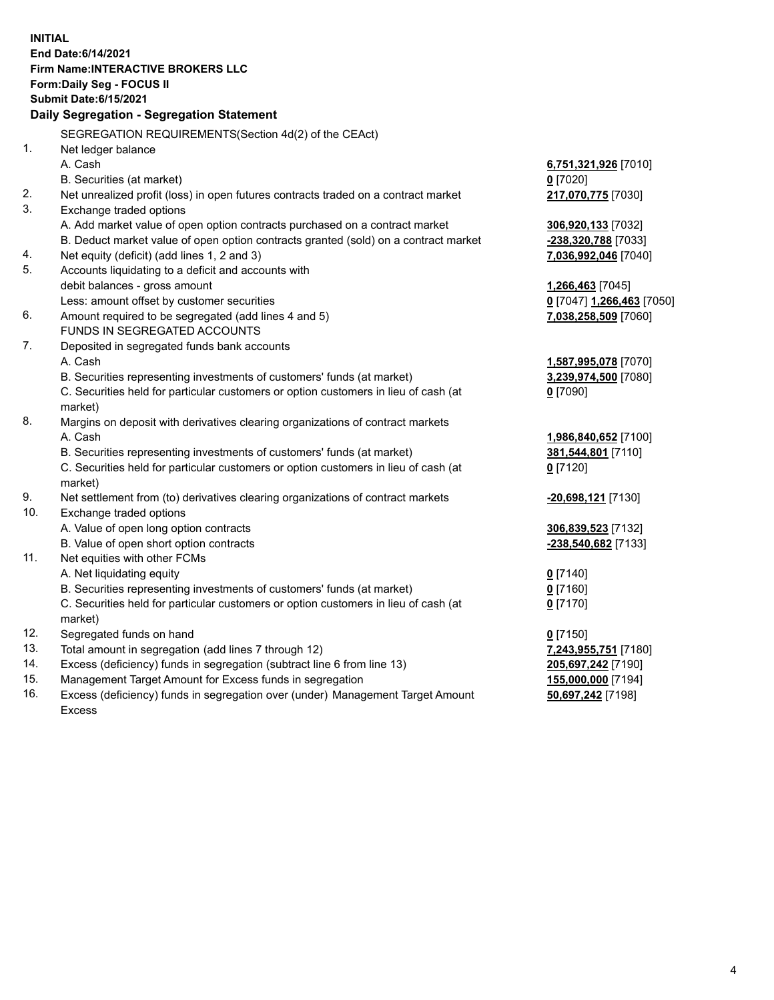**INITIAL End Date:6/14/2021 Firm Name:INTERACTIVE BROKERS LLC Form:Daily Seg - FOCUS II Submit Date:6/15/2021 Daily Segregation - Segregation Statement** SEGREGATION REQUIREMENTS(Section 4d(2) of the CEAct) 1. Net ledger balance A. Cash **6,751,321,926** [7010] B. Securities (at market) **0** [7020] 2. Net unrealized profit (loss) in open futures contracts traded on a contract market **217,070,775** [7030] 3. Exchange traded options A. Add market value of open option contracts purchased on a contract market **306,920,133** [7032] B. Deduct market value of open option contracts granted (sold) on a contract market **-238,320,788** [7033] 4. Net equity (deficit) (add lines 1, 2 and 3) **7,036,992,046** [7040] 5. Accounts liquidating to a deficit and accounts with debit balances - gross amount **1,266,463** [7045] Less: amount offset by customer securities **0** [7047] **1,266,463** [7050] 6. Amount required to be segregated (add lines 4 and 5) **7,038,258,509** [7060] FUNDS IN SEGREGATED ACCOUNTS 7. Deposited in segregated funds bank accounts A. Cash **1,587,995,078** [7070] B. Securities representing investments of customers' funds (at market) **3,239,974,500** [7080] C. Securities held for particular customers or option customers in lieu of cash (at market) **0** [7090] 8. Margins on deposit with derivatives clearing organizations of contract markets A. Cash **1,986,840,652** [7100] B. Securities representing investments of customers' funds (at market) **381,544,801** [7110] C. Securities held for particular customers or option customers in lieu of cash (at market) **0** [7120] 9. Net settlement from (to) derivatives clearing organizations of contract markets **-20,698,121** [7130] 10. Exchange traded options A. Value of open long option contracts **306,839,523** [7132] B. Value of open short option contracts **-238,540,682** [7133] 11. Net equities with other FCMs A. Net liquidating equity **0** [7140] B. Securities representing investments of customers' funds (at market) **0** [7160] C. Securities held for particular customers or option customers in lieu of cash (at market) **0** [7170] 12. Segregated funds on hand **0** [7150] 13. Total amount in segregation (add lines 7 through 12) **7,243,955,751** [7180] 14. Excess (deficiency) funds in segregation (subtract line 6 from line 13) **205,697,242** [7190] 15. Management Target Amount for Excess funds in segregation **155,000,000** [7194]

16. Excess (deficiency) funds in segregation over (under) Management Target Amount Excess

**50,697,242** [7198]